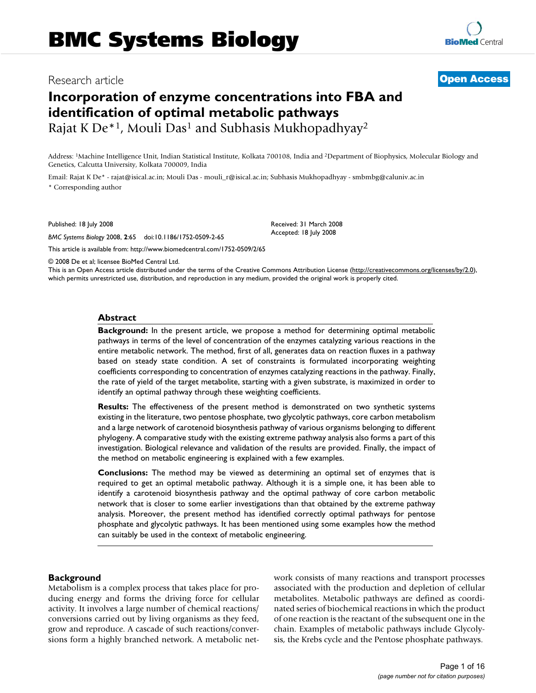# **Incorporation of enzyme concentrations into FBA and identification of optimal metabolic pathways** Rajat K De<sup>\*1</sup>, Mouli Das<sup>1</sup> and Subhasis Mukhopadhyay<sup>2</sup>

**[BioMed](http://www.biomedcentral.com/) Central** 

# Research article **[Open Access](http://www.biomedcentral.com/info/about/charter/)**

Address: <sup>1</sup>Machine Intelligence Unit, Indian Statistical Institute, Kolkata 700108, India and <sup>2</sup>Department of Biophysics, Molecular Biology and Genetics, Calcutta University, Kolkata 700009, India

Email: Rajat K De\* - rajat@isical.ac.in; Mouli Das - mouli\_r@isical.ac.in; Subhasis Mukhopadhyay - smbmbg@caluniv.ac.in \* Corresponding author

Published: 18 July 2008

*BMC Systems Biology* 2008, **2**:65 doi:10.1186/1752-0509-2-65

[This article is available from: http://www.biomedcentral.com/1752-0509/2/65](http://www.biomedcentral.com/1752-0509/2/65)

© 2008 De et al; licensee BioMed Central Ltd.

This is an Open Access article distributed under the terms of the Creative Commons Attribution License [\(http://creativecommons.org/licenses/by/2.0\)](http://creativecommons.org/licenses/by/2.0), which permits unrestricted use, distribution, and reproduction in any medium, provided the original work is properly cited.

Received: 31 March 2008 Accepted: 18 July 2008

# **Abstract**

**Background:** In the present article, we propose a method for determining optimal metabolic pathways in terms of the level of concentration of the enzymes catalyzing various reactions in the entire metabolic network. The method, first of all, generates data on reaction fluxes in a pathway based on steady state condition. A set of constraints is formulated incorporating weighting coefficients corresponding to concentration of enzymes catalyzing reactions in the pathway. Finally, the rate of yield of the target metabolite, starting with a given substrate, is maximized in order to identify an optimal pathway through these weighting coefficients.

**Results:** The effectiveness of the present method is demonstrated on two synthetic systems existing in the literature, two pentose phosphate, two glycolytic pathways, core carbon metabolism and a large network of carotenoid biosynthesis pathway of various organisms belonging to different phylogeny. A comparative study with the existing extreme pathway analysis also forms a part of this investigation. Biological relevance and validation of the results are provided. Finally, the impact of the method on metabolic engineering is explained with a few examples.

**Conclusions:** The method may be viewed as determining an optimal set of enzymes that is required to get an optimal metabolic pathway. Although it is a simple one, it has been able to identify a carotenoid biosynthesis pathway and the optimal pathway of core carbon metabolic network that is closer to some earlier investigations than that obtained by the extreme pathway analysis. Moreover, the present method has identified correctly optimal pathways for pentose phosphate and glycolytic pathways. It has been mentioned using some examples how the method can suitably be used in the context of metabolic engineering.

# **Background**

Metabolism is a complex process that takes place for producing energy and forms the driving force for cellular activity. It involves a large number of chemical reactions/ conversions carried out by living organisms as they feed, grow and reproduce. A cascade of such reactions/conversions form a highly branched network. A metabolic network consists of many reactions and transport processes associated with the production and depletion of cellular metabolites. Metabolic pathways are defined as coordinated series of biochemical reactions in which the product of one reaction is the reactant of the subsequent one in the chain. Examples of metabolic pathways include Glycolysis, the Krebs cycle and the Pentose phosphate pathways.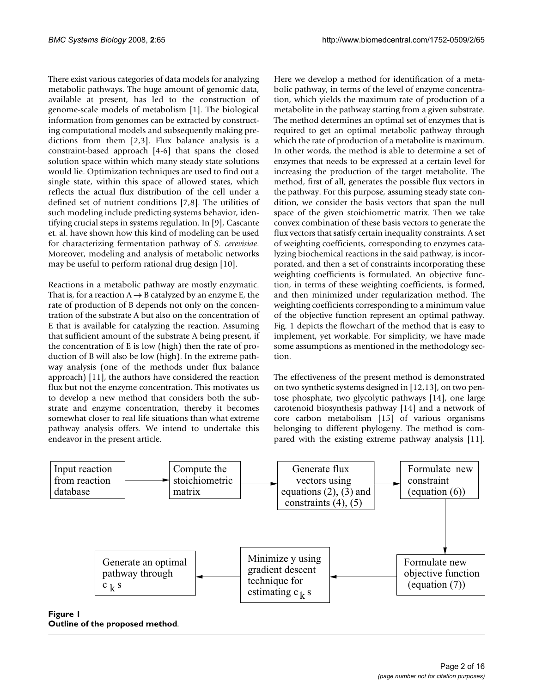There exist various categories of data models for analyzing metabolic pathways. The huge amount of genomic data, available at present, has led to the construction of genome-scale models of metabolism [1]. The biological information from genomes can be extracted by constructing computational models and subsequently making predictions from them [2,3]. Flux balance analysis is a constraint-based approach [4-6] that spans the closed solution space within which many steady state solutions would lie. Optimization techniques are used to find out a single state, within this space of allowed states, which reflects the actual flux distribution of the cell under a defined set of nutrient conditions [7,8]. The utilities of such modeling include predicting systems behavior, identifying crucial steps in systems regulation. In [9], Cascante et. al. have shown how this kind of modeling can be used for characterizing fermentation pathway of *S. cerevisiae*. Moreover, modeling and analysis of metabolic networks may be useful to perform rational drug design [10].

Reactions in a metabolic pathway are mostly enzymatic. That is, for a reaction  $A \rightarrow B$  catalyzed by an enzyme E, the rate of production of B depends not only on the concentration of the substrate A but also on the concentration of E that is available for catalyzing the reaction. Assuming that sufficient amount of the substrate A being present, if the concentration of E is low (high) then the rate of production of B will also be low (high). In the extreme pathway analysis (one of the methods under flux balance approach) [11], the authors have considered the reaction flux but not the enzyme concentration. This motivates us to develop a new method that considers both the substrate and enzyme concentration, thereby it becomes somewhat closer to real life situations than what extreme pathway analysis offers. We intend to undertake this endeavor in the present article.

Here we develop a method for identification of a metabolic pathway, in terms of the level of enzyme concentration, which yields the maximum rate of production of a metabolite in the pathway starting from a given substrate. The method determines an optimal set of enzymes that is required to get an optimal metabolic pathway through which the rate of production of a metabolite is maximum. In other words, the method is able to determine a set of enzymes that needs to be expressed at a certain level for increasing the production of the target metabolite. The method, first of all, generates the possible flux vectors in the pathway. For this purpose, assuming steady state condition, we consider the basis vectors that span the null space of the given stoichiometric matrix. Then we take convex combination of these basis vectors to generate the flux vectors that satisfy certain inequality constraints. A set of weighting coefficients, corresponding to enzymes catalyzing biochemical reactions in the said pathway, is incorporated, and then a set of constraints incorporating these weighting coefficients is formulated. An objective function, in terms of these weighting coefficients, is formed, and then minimized under regularization method. The weighting coefficients corresponding to a minimum value of the objective function represent an optimal pathway. Fig. 1 depicts the flowchart of the method that is easy to implement, yet workable. For simplicity, we have made some assumptions as mentioned in the methodology section.

The effectiveness of the present method is demonstrated on two synthetic systems designed in [12,13], on two pentose phosphate, two glycolytic pathways [14], one large carotenoid biosynthesis pathway [14] and a network of core carbon metabolism [15] of various organisms belonging to different phylogeny. The method is compared with the existing extreme pathway analysis [11].



**Outline of the proposed method**.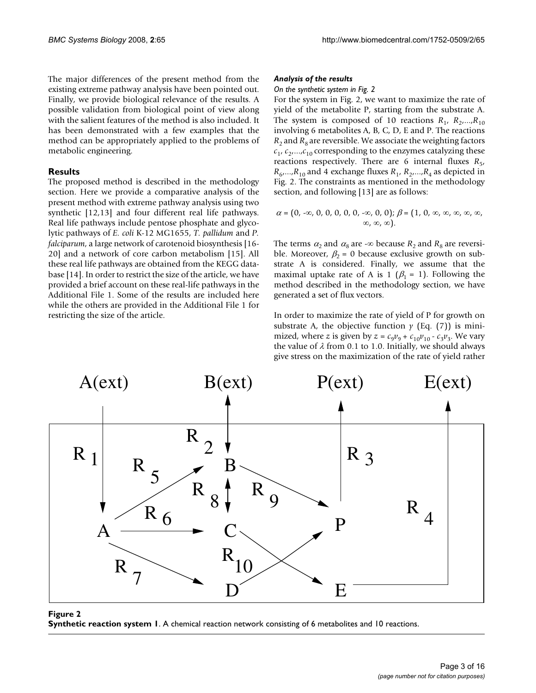The major differences of the present method from the existing extreme pathway analysis have been pointed out. Finally, we provide biological relevance of the results. A possible validation from biological point of view along with the salient features of the method is also included. It has been demonstrated with a few examples that the method can be appropriately applied to the problems of metabolic engineering.

# **Results**

The proposed method is described in the methodology section. Here we provide a comparative analysis of the present method with extreme pathway analysis using two synthetic [12,13] and four different real life pathways. Real life pathways include pentose phosphate and glycolytic pathways of *E. coli* K-12 MG1655, *T. pallidum* and *P. falciparum*, a large network of carotenoid biosynthesis [16- 20] and a network of core carbon metabolism [15]. All these real life pathways are obtained from the KEGG database [14]. In order to restrict the size of the article, we have provided a brief account on these real-life pathways in the Additional File 1. Some of the results are included here while the others are provided in the Additional File 1 for restricting the size of the article.

#### *Analysis of the results*

#### *On the synthetic system in Fig. 2*

For the system in Fig. 2, we want to maximize the rate of yield of the metabolite P, starting from the substrate A. The system is composed of 10 reactions  $R_1, R_2,...,R_{10}$ involving 6 metabolites A, B, C, D, E and P. The reactions  $R_2$  and  $R_8$  are reversible. We associate the weighting factors  $c_1$ ,  $c_2$ ,..., $c_{10}$  corresponding to the enzymes catalyzing these reactions respectively. There are 6 internal fluxes  $R_{5}$ ,  $R_6$ ,..., $R_{10}$  and 4 exchange fluxes  $R_1$ ,  $R_2$ ,..., $R_4$  as depicted in Fig. 2. The constraints as mentioned in the methodology section, and following [13] are as follows:

$$
\alpha = (0, -\infty, 0, 0, 0, 0, 0, -\infty, 0, 0); \beta = (1, 0, \infty, \infty, \infty, \infty, \infty, \infty, \infty, \infty)
$$

The terms  $\alpha_2$  and  $\alpha_8$  are -∞ because  $R_2$  and  $R_8$  are reversible. Moreover,  $\beta_2 = 0$  because exclusive growth on substrate A is considered. Finally, we assume that the maximal uptake rate of A is 1 ( $\beta_1 = 1$ ). Following the method described in the methodology section, we have generated a set of flux vectors.

In order to maximize the rate of yield of P for growth on substrate A, the objective function  $y$  (Eq. (7)) is minimized, where *z* is given by  $z = c_9 v_9 + c_{10} v_{10} - c_3 v_3$ . We vary the value of  $\lambda$  from 0.1 to 1.0. Initially, we should always give stress on the maximization of the rate of yield rather



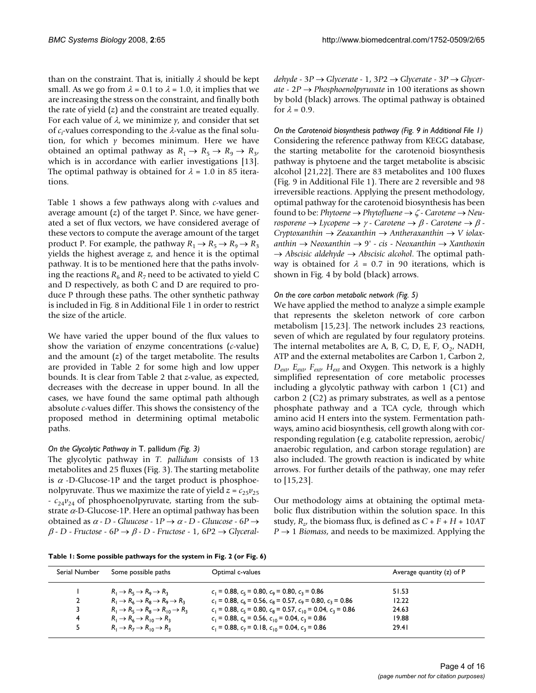than on the constraint. That is, initially  $\lambda$  should be kept small. As we go from  $\lambda = 0.1$  to  $\lambda = 1.0$ , it implies that we are increasing the stress on the constraint, and finally both the rate of yield (*z*) and the constraint are treated equally. For each value of  $\lambda$ , we minimize  $\gamma$ , and consider that set of *c<sup>i</sup>* -values corresponding to the λ-value as the final solution, for which *y* becomes minimum. Here we have obtained an optimal pathway as  $R_1 \rightarrow R_5 \rightarrow R_9 \rightarrow R_3$ , which is in accordance with earlier investigations [13]. The optimal pathway is obtained for  $\lambda = 1.0$  in 85 iterations.

Table 1 shows a few pathways along with *c*-values and average amount (*z*) of the target P. Since, we have generated a set of flux vectors, we have considered average of these vectors to compute the average amount of the target product P. For example, the pathway  $R_1 \rightarrow R_5 \rightarrow R_9 \rightarrow R_3$ yields the highest average *z*, and hence it is the optimal pathway. It is to be mentioned here that the paths involving the reactions  $R_6$  and  $R_7$  need to be activated to yield C and D respectively, as both C and D are required to produce P through these paths. The other synthetic pathway is included in Fig. 8 in Additional File 1 in order to restrict the size of the article.

We have varied the upper bound of the flux values to show the variation of enzyme concentrations (*c*-value) and the amount (*z*) of the target metabolite. The results are provided in Table 2 for some high and low upper bounds. It is clear from Table 2 that *z*-value, as expected, decreases with the decrease in upper bound. In all the cases, we have found the same optimal path although absolute *c*-values differ. This shows the consistency of the proposed method in determining optimal metabolic paths.

# *On the Glycolytic Pathway in* T. pallidum *(Fig. 3)*

The glycolytic pathway in *T. pallidum* consists of 13 metabolites and 25 fluxes (Fig. 3). The starting metabolite is  $\alpha$  -D-Glucose-1P and the target product is phosphoenolpyruvate. Thus we maximize the rate of yield  $z = c_{25}v_{25}$  $-c_{24}v_{24}$  of phosphoenolpyruvate, starting from the substrate  $\alpha$ -D-Glucose-1P. Here an optimal pathway has been obtained as <sup>α</sup> - *D* - *Gluucose* - 1*P* → <sup>α</sup> - *D* - *Gluucose* - 6*P* → β - *D* - *Fructose* - 6*P* → β - *D* - *Fructose* - 1, 6*P*2 → *Glyceral-* *dehyde* - 3*P* → *Glycerate* - 1, 3*P*2 → *Glycerate* - 3*P* → *Glycerate* - 2*P* → *Phosphoenolpyruvate* in 100 iterations as shown by bold (black) arrows. The optimal pathway is obtained for  $\lambda = 0.9$ .

*On the Carotenoid biosynthesis pathway (Fig. 9 in Additional File 1)* Considering the reference pathway from KEGG database, the starting metabolite for the carotenoid biosynthesis pathway is phytoene and the target metabolite is abscisic alcohol [21,22]. There are 83 metabolites and 100 fluxes (Fig. 9 in Additional File 1). There are 2 reversible and 98 irreversible reactions. Applying the present methodology, optimal pathway for the carotenoid biosynthesis has been found to be: *Phytoene* → *Phytofluene* → ζ - *Carotene* → *Neurosporene* → *Lycopene* → <sup>γ</sup> - *Carotene* → β - *Carotene* → β - *Cryptoxanthin* → *Zeaxanthin* → *Antheraxanthin* → *V iolaxanthin* → *Neoxanthin* → 9' - *cis* - *Neoxanthin* → *Xanthoxin* → *Abscisic aldehyde* → *Abscisic alcohol*. The optimal pathway is obtained for  $\lambda = 0.7$  in 90 iterations, which is shown in Fig. 4 by bold (black) arrows.

# *On the core carbon metabolic network (Fig. 5)*

We have applied the method to analyze a simple example that represents the skeleton network of core carbon metabolism [15,23]. The network includes 23 reactions, seven of which are regulated by four regulatory proteins. The internal metabolites are A, B, C, D, E, F,  $O_2$ , NADH, ATP and the external metabolites are Carbon 1, Carbon 2, *Dext*, *Eext*, *Fext*, *Hext* and Oxygen. This network is a highly simplified representation of core metabolic processes including a glycolytic pathway with carbon 1 (C1) and carbon 2 (C2) as primary substrates, as well as a pentose phosphate pathway and a TCA cycle, through which amino acid H enters into the system. Fermentation pathways, amino acid biosynthesis, cell growth along with corresponding regulation (e.g. catabolite repression, aerobic/ anaerobic regulation, and carbon storage regulation) are also included. The growth reaction is indicated by white arrows. For further details of the pathway, one may refer to [15,23].

Our methodology aims at obtaining the optimal metabolic flux distribution within the solution space. In this study,  $R_{z}$ , the biomass flux, is defined as  $C + F + H + 10AT$  $P \rightarrow 1$  *Biomass*, and needs to be maximized. Applying the

**Table 1: Some possible pathways for the system in Fig. 2 (or Fig. 6)**

| Serial Number | Some possible paths                                                      | Optimal c-values                                                         | Average quantity $(z)$ of P |
|---------------|--------------------------------------------------------------------------|--------------------------------------------------------------------------|-----------------------------|
|               | $R_1 \rightarrow R_5 \rightarrow R_9 \rightarrow R_2$                    | $c_1 = 0.88$ , $c_5 = 0.80$ , $c_9 = 0.80$ , $c_3 = 0.86$                | 51.53                       |
| $\mathbf{2}$  | $R_1 \rightarrow R_6 \rightarrow R_8 \rightarrow R_9 \rightarrow R_3$    | $c_1 = 0.88$ , $c_6 = 0.56$ , $c_8 = 0.57$ , $c_9 = 0.80$ , $c_3 = 0.86$ | 12.22                       |
|               | $R_1 \rightarrow R_5 \rightarrow R_8 \rightarrow R_{10} \rightarrow R_3$ | $c_1$ = 0.88, $c_5$ = 0.80, $c_8$ = 0.57, $c_{10}$ = 0.04, $c_3$ = 0.86  | 24.63                       |
| 4             | $R_1 \rightarrow R_6 \rightarrow R_{10} \rightarrow R_3$                 | $c_1$ = 0.88, $c_6$ = 0.56, $c_{10}$ = 0.04, $c_3$ = 0.86                | 19.88                       |
|               | $R_1 \rightarrow R_7 \rightarrow R_{10} \rightarrow R_2$                 | $c_1$ = 0.88, $c_7$ = 0.18, $c_{10}$ = 0.04, $c_3$ = 0.86                | 29.41                       |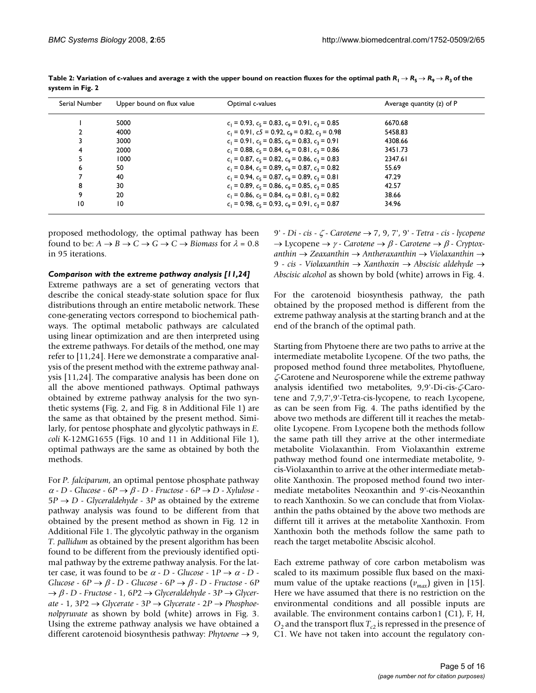| Serial Number | Upper bound on flux value | Optimal c-values                                          | Average quantity (z) of P |
|---------------|---------------------------|-----------------------------------------------------------|---------------------------|
|               | 5000                      | $c_1 = 0.93$ , $c_5 = 0.83$ , $c_9 = 0.91$ , $c_3 = 0.85$ | 6670.68                   |
|               | 4000                      | $c_1 = 0.91$ , $c_2 = 0.92$ , $c_9 = 0.82$ , $c_3 = 0.98$ | 5458.83                   |
|               | 3000                      | $c_1 = 0.91$ , $c_5 = 0.85$ , $c_9 = 0.83$ , $c_3 = 0.91$ | 4308.66                   |
|               | 2000                      | $c_1 = 0.88$ , $c_5 = 0.84$ , $c_9 = 0.81$ , $c_3 = 0.86$ | 3451.73                   |
|               | 1000                      | $c_1 = 0.87$ , $c_5 = 0.82$ , $c_9 = 0.86$ , $c_3 = 0.83$ | 2347.61                   |
| 6             | 50                        | $c_1 = 0.84$ , $c_5 = 0.89$ , $c_9 = 0.87$ , $c_3 = 0.82$ | 55.69                     |
|               | 40                        | $c_1 = 0.94$ , $c_5 = 0.87$ , $c_9 = 0.89$ , $c_3 = 0.81$ | 47.29                     |
| 8             | 30                        | $c_1 = 0.89$ , $c_5 = 0.86$ , $c_9 = 0.85$ , $c_3 = 0.85$ | 42.57                     |
| 9             | 20                        | $c_1 = 0.86$ , $c_5 = 0.84$ , $c_9 = 0.81$ , $c_3 = 0.82$ | 38.66                     |
| 10            | 10                        | $c_1 = 0.98$ , $c_5 = 0.93$ , $c_9 = 0.91$ , $c_2 = 0.87$ | 34.96                     |

**Table 2: Variation of c-values and average z with the upper bound on reaction fluxes for the optimal path**  $R_1 \to R_5 \to R_9 \to R_3$  **of the system in Fig. 2**

proposed methodology, the optimal pathway has been found to be:  $A \rightarrow B \rightarrow C \rightarrow G \rightarrow C \rightarrow Biomass$  for  $\lambda = 0.8$ in 95 iterations.

#### *Comparison with the extreme pathway analysis [11,24]*

Extreme pathways are a set of generating vectors that describe the conical steady-state solution space for flux distributions through an entire metabolic network. These cone-generating vectors correspond to biochemical pathways. The optimal metabolic pathways are calculated using linear optimization and are then interpreted using the extreme pathways. For details of the method, one may refer to [11,24]. Here we demonstrate a comparative analysis of the present method with the extreme pathway analysis [11,24]. The comparative analysis has been done on all the above mentioned pathways. Optimal pathways obtained by extreme pathway analysis for the two synthetic systems (Fig. 2, and Fig. 8 in Additional File 1) are the same as that obtained by the present method. Similarly, for pentose phosphate and glycolytic pathways in *E. coli* K-12MG1655 (Figs. 10 and 11 in Additional File 1), optimal pathways are the same as obtained by both the methods.

For *P. falciparum*, an optimal pentose phosphate pathway <sup>α</sup> - *D* - *Glucose* - 6*P* → β - *D* - *Fructose* - 6*P* → *D* - *Xylulose* - 5*P* → *D* - *Glyceraldehyde* - 3*P* as obtained by the extreme pathway analysis was found to be different from that obtained by the present method as shown in Fig. 12 in Additional File 1. The glycolytic pathway in the organism *T. pallidum* as obtained by the present algorithm has been found to be different from the previously identified optimal pathway by the extreme pathway analysis. For the latter case, it was found to be  $\alpha$  - *D* - *Glucose* - 1*P*  $\rightarrow \alpha$  - *D* -*Glucose* - 6*P* → β - *D* - *Glucose* - 6*P* → β - *D* - *Fructose* - 6*P* → β - *D* - *Fructose* - 1, 6*P*2 → *Glyceraldehyde* - 3*P* → *Glycerate* - 1, 3*P*2 → *Glycerate* - 3*P* → *Glycerate* - 2*P* → *Phosphoenolpyruvate* as shown by bold (white) arrows in Fig. 3. Using the extreme pathway analysis we have obtained a different carotenoid biosynthesis pathway: *Phytoene* → 9,

9' - *Di* - *cis* - ζ - *Carotene* → 7, 9, 7', 9' - *Tetra* - *cis* - *lycopene* → Lycopene → <sup>γ</sup> - *Carotene* → β - *Carotene* → β - *Cryptoxanthin* → *Zeaxanthin* → *Antheraxanthin* → *Violaxanthin* → 9 - *cis* - *Violaxanthin* → *Xanthoxin* → *Abscisic aldehyde* → *Abscisic alcohol* as shown by bold (white) arrows in Fig. 4.

For the carotenoid biosynthesis pathway, the path obtained by the proposed method is different from the extreme pathway analysis at the starting branch and at the end of the branch of the optimal path.

Starting from Phytoene there are two paths to arrive at the intermediate metabolite Lycopene. Of the two paths, the proposed method found three metabolites, Phytofluene, ζ-Carotene and Neurosporene while the extreme pathway analysis identified two metabolites, 9,9'-Di-cis-ζ-Carotene and 7,9,7',9'-Tetra-cis-lycopene, to reach Lycopene, as can be seen from Fig. 4. The paths identified by the above two methods are different till it reaches the metabolite Lycopene. From Lycopene both the methods follow the same path till they arrive at the other intermediate metabolite Violaxanthin. From Violaxanthin extreme pathway method found one intermediate metabolite, 9 cis-Violaxanthin to arrive at the other intermediate metabolite Xanthoxin. The proposed method found two intermediate metabolites Neoxanthin and 9'-cis-Neoxanthin to reach Xanthoxin. So we can conclude that from Violaxanthin the paths obtained by the above two methods are differnt till it arrives at the metabolite Xanthoxin. From Xanthoxin both the methods follow the same path to reach the target metabolite Abscisic alcohol.

Each extreme pathway of core carbon metabolism was scaled to its maximum possible flux based on the maximum value of the uptake reactions  $(v_{max})$  given in [15]. Here we have assumed that there is no restriction on the environmental conditions and all possible inputs are available. The environment contains carbon1 (C1), F, H,  $O_2$  and the transport flux  $T_{c2}$  is repressed in the presence of C1. We have not taken into account the regulatory con-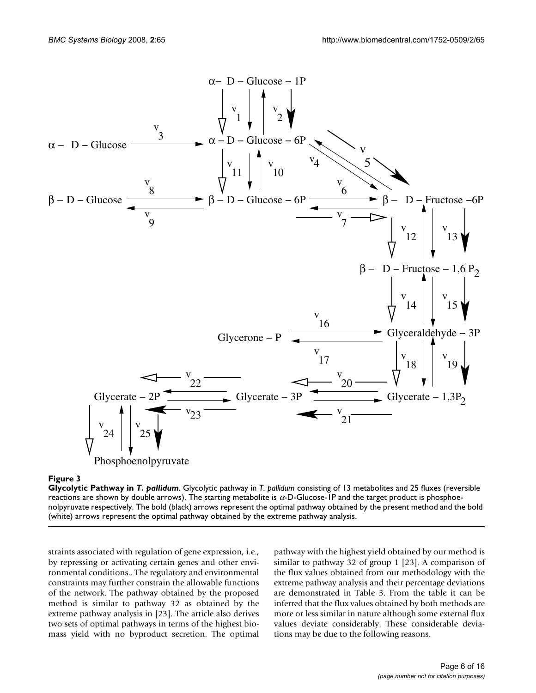

# Figure 3

**Glycolytic Pathway in** *T. pallidum*. Glycolytic pathway in *T. pallidum* consisting of 13 metabolites and 25 fluxes (reversible reactions are shown by double arrows). The starting metabolite is α-D-Glucose-1P and the target product is phosphoenolpyruvate respectively. The bold (black) arrows represent the optimal pathway obtained by the present method and the bold (white) arrows represent the optimal pathway obtained by the extreme pathway analysis.

straints associated with regulation of gene expression, i.e., by repressing or activating certain genes and other environmental conditions.. The regulatory and environmental constraints may further constrain the allowable functions of the network. The pathway obtained by the proposed method is similar to pathway 32 as obtained by the extreme pathway analysis in [23]. The article also derives two sets of optimal pathways in terms of the highest biomass yield with no byproduct secretion. The optimal

pathway with the highest yield obtained by our method is similar to pathway 32 of group 1 [23]. A comparison of the flux values obtained from our methodology with the extreme pathway analysis and their percentage deviations are demonstrated in Table 3. From the table it can be inferred that the flux values obtained by both methods are more or less similar in nature although some external flux values deviate considerably. These considerable deviations may be due to the following reasons.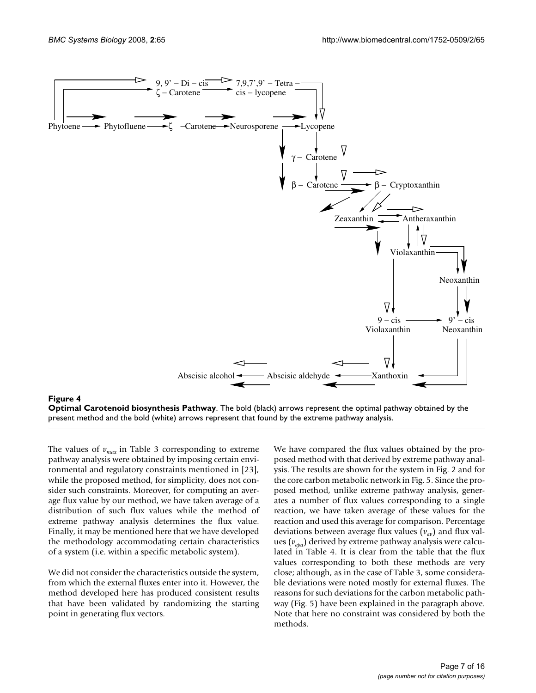

**Optimal Carotenoid biosynthesis Pathway**. The bold (black) arrows represent the optimal pathway obtained by the present method and the bold (white) arrows represent that found by the extreme pathway analysis.

The values of  $v_{max}$  in Table 3 corresponding to extreme pathway analysis were obtained by imposing certain environmental and regulatory constraints mentioned in [23], while the proposed method, for simplicity, does not consider such constraints. Moreover, for computing an average flux value by our method, we have taken average of a distribution of such flux values while the method of extreme pathway analysis determines the flux value. Finally, it may be mentioned here that we have developed the methodology accommodating certain characteristics of a system (i.e. within a specific metabolic system).

We did not consider the characteristics outside the system, from which the external fluxes enter into it. However, the method developed here has produced consistent results that have been validated by randomizing the starting point in generating flux vectors.

We have compared the flux values obtained by the proposed method with that derived by extreme pathway analysis. The results are shown for the system in Fig. 2 and for the core carbon metabolic network in Fig. 5. Since the proposed method, unlike extreme pathway analysis, generates a number of flux values corresponding to a single reaction, we have taken average of these values for the reaction and used this average for comparison. Percentage deviations between average flux values (*vav*) and flux values (*vepa*) derived by extreme pathway analysis were calculated in Table 4. It is clear from the table that the flux values corresponding to both these methods are very close; although, as in the case of Table 3, some considerable deviations were noted mostly for external fluxes. The reasons for such deviations for the carbon metabolic pathway (Fig. 5) have been explained in the paragraph above. Note that here no constraint was considered by both the methods.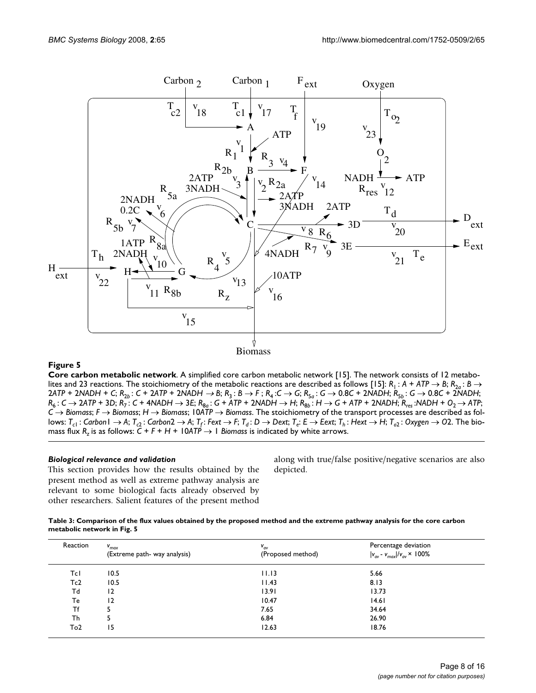

# **Figure 5**

**Core carbon metabolic network**. A simplified core carbon metabolic network [15]. The network consists of 12 metabolites and 23 reactions. The stoichiometry of the metabolic reactions are described as follows [15]:  $R_1$ :  $A + ATP \rightarrow B$ ;  $R_{2a}$ :  $B \rightarrow$ 2ATP + 2NADH + C;  $R_{2b}$ : C + 2ATP + 2NADH  $\rightarrow$  B;  $R_3$ : B  $\rightarrow$  F;  $R_4$ : C  $\rightarrow$  G;  $R_{5a}$ : G  $\rightarrow$  0.8C + 2NADH;  $R_{5b}$ : G  $\rightarrow$  0.8C + 2NADH;  $R_6: C \to 2ATP$  + 3D;  $R_7: C$  + 4NADH  $\to 3E$ ;  $R_{8a}: G$  + ATP + 2NADH  $\to H$ ;  $R_{8b}: H \to G$  + ATP + 2NADH;  $R_{res}: NADH$  +  $O_2 \to ATP$ ; *C* → *Biomass*; *F* → *Biomass*; *H* → *Biomass*; 10*ATP* → *Biomass*. The stoichiometry of the transport processes are described as follows: T<sub>c1</sub> : Carbon l  $\to$  A; T<sub>c2</sub> : Carbon2  $\to$  A; T<sub>f</sub> : Fext  $\to$  F; T<sub>d</sub> : D  $\to$  Dext; T<sub>e</sub>: E  $\to$  Eext; T<sub>h</sub> : Hext  $\to$  H; T<sub>o2</sub> : Oxygen  $\to$  O2. The biomass flux  $R_z$  is as follows:  $C + F + H + 10$ ATP  $\rightarrow$  1 *Biomass* is indicated by white arrows.

# *Biological relevance and validation*

This section provides how the results obtained by the present method as well as extreme pathway analysis are relevant to some biological facts already observed by other researchers. Salient features of the present method

along with true/false positive/negative scenarios are also depicted.

| Table 3: Comparison of the flux values obtained by the proposed method and the extreme pathway analysis for the core carbon |
|-----------------------------------------------------------------------------------------------------------------------------|
| metabolic network in Fig. 5                                                                                                 |

| Reaction        | $V_{max}$<br>(Extreme path- way analysis) | $V_{av}$<br>(Proposed method) | Percentage deviation<br>$ v_{av} - v_{max} /v_{av} \times 100\%$ |
|-----------------|-------------------------------------------|-------------------------------|------------------------------------------------------------------|
| Tcl             | 10.5                                      | 11.13                         | 5.66                                                             |
| Tc2             | 10.5                                      | 11.43                         | 8.13                                                             |
| Тd              | $\overline{2}$                            | 13.91                         | 13.73                                                            |
| Te              | 12                                        | 10.47                         | 4.6                                                              |
| Τf              |                                           | 7.65                          | 34.64                                                            |
| Th              | 5                                         | 6.84                          | 26.90                                                            |
| To <sub>2</sub> | 15                                        | 12.63                         | 18.76                                                            |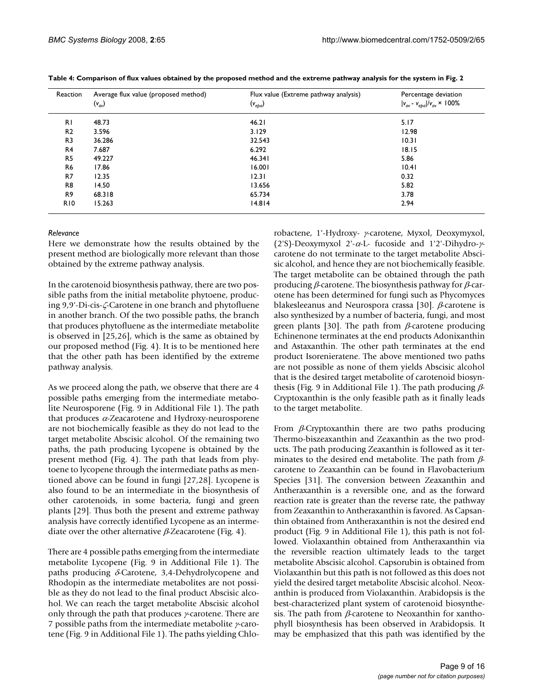| Reaction       | Average flux value (proposed method)<br>$(v_{av})$ | Flux value (Extreme pathway analysis)<br>$(v_{epa})$ | Percentage deviation<br>$ v_{av} - v_{epa} /v_{av} \times 100\%$ |
|----------------|----------------------------------------------------|------------------------------------------------------|------------------------------------------------------------------|
| R <sub>1</sub> | 48.73                                              | 46.21                                                | 5.17                                                             |
| R <sub>2</sub> | 3.596                                              | 3.129                                                | 12.98                                                            |
| R <sub>3</sub> | 36.286                                             | 32.543                                               | 10.31                                                            |
| R <sub>4</sub> | 7.687                                              | 6.292                                                | 18.15                                                            |
| R <sub>5</sub> | 49.227                                             | 46.341                                               | 5.86                                                             |
| R <sub>6</sub> | 17.86                                              | 16.001                                               | 10.41                                                            |
| R7             | 12.35                                              | 12.31                                                | 0.32                                                             |
| R8             | 14.50                                              | 13.656                                               | 5.82                                                             |
| R <sub>9</sub> | 68.318                                             | 65.734                                               | 3.78                                                             |
| <b>R10</b>     | 15.263                                             | 14.814                                               | 2.94                                                             |

**Table 4: Comparison of flux values obtained by the proposed method and the extreme pathway analysis for the system in Fig. 2**

#### *Relevance*

Here we demonstrate how the results obtained by the present method are biologically more relevant than those obtained by the extreme pathway analysis.

In the carotenoid biosynthesis pathway, there are two possible paths from the initial metabolite phytoene, producing 9,9'-Di-cis-ζ-Carotene in one branch and phytofluene in another branch. Of the two possible paths, the branch that produces phytofluene as the intermediate metabolite is observed in [25,26], which is the same as obtained by our proposed method (Fig. 4). It is to be mentioned here that the other path has been identified by the extreme pathway analysis.

As we proceed along the path, we observe that there are 4 possible paths emerging from the intermediate metabolite Neurosporene (Fig. 9 in Additional File 1). The path that produces α-Zeacarotene and Hydroxy-neurosporene are not biochemically feasible as they do not lead to the target metabolite Abscisic alcohol. Of the remaining two paths, the path producing Lycopene is obtained by the present method (Fig. 4). The path that leads from phytoene to lycopene through the intermediate paths as mentioned above can be found in fungi [27,28]. Lycopene is also found to be an intermediate in the biosynthesis of other carotenoids, in some bacteria, fungi and green plants [29]. Thus both the present and extreme pathway analysis have correctly identified Lycopene as an intermediate over the other alternative  $\beta$ -Zeacarotene (Fig. 4).

There are 4 possible paths emerging from the intermediate metabolite Lycopene (Fig. 9 in Additional File 1). The paths producing  $\delta$ -Carotene, 3,4-Dehydrolycopene and Rhodopin as the intermediate metabolites are not possible as they do not lead to the final product Abscisic alcohol. We can reach the target metabolite Abscisic alcohol only through the path that produces γ-carotene. There are 7 possible paths from the intermediate metabolite γ-carotene (Fig. 9 in Additional File 1). The paths yielding Chlorobactene, 1'-Hydroxy- γ-carotene, Myxol, Deoxymyxol, (2'S)-Deoxymyxol 2'-α-L- fucoside and 1'2'-Dihydro-γcarotene do not terminate to the target metabolite Abscisic alcohol, and hence they are not biochemically feasible. The target metabolite can be obtained through the path producing β-carotene. The biosynthesis pathway for β-carotene has been determined for fungi such as Phycomyces blakesleeanus and Neurospora crassa [30]. β-carotene is also synthesized by a number of bacteria, fungi, and most green plants [30]. The path from  $\beta$ -carotene producing Echinenone terminates at the end products Adonixanthin and Astaxanthin. The other path terminates at the end product Isorenieratene. The above mentioned two paths are not possible as none of them yields Abscisic alcohol that is the desired target metabolite of carotenoid biosynthesis (Fig. 9 in Additional File 1). The path producing  $\beta$ -Cryptoxanthin is the only feasible path as it finally leads to the target metabolite.

From  $\beta$ -Cryptoxanthin there are two paths producing Thermo-biszeaxanthin and Zeaxanthin as the two products. The path producing Zeaxanthin is followed as it terminates to the desired end metabolite. The path from  $\beta$ carotene to Zeaxanthin can be found in Flavobacterium Species [31]. The conversion between Zeaxanthin and Antheraxanthin is a reversible one, and as the forward reaction rate is greater than the reverse rate, the pathway from Zeaxanthin to Antheraxanthin is favored. As Capsanthin obtained from Antheraxanthin is not the desired end product (Fig. 9 in Additional File 1), this path is not followed. Violaxanthin obtained from Antheraxanthin via the reversible reaction ultimately leads to the target metabolite Abscisic alcohol. Capsorubin is obtained from Violaxanthin but this path is not followed as this does not yield the desired target metabolite Abscisic alcohol. Neoxanthin is produced from Violaxanthin. Arabidopsis is the best-characterized plant system of carotenoid biosynthesis. The path from  $\beta$ -carotene to Neoxanthin for xanthophyll biosynthesis has been observed in Arabidopsis. It may be emphasized that this path was identified by the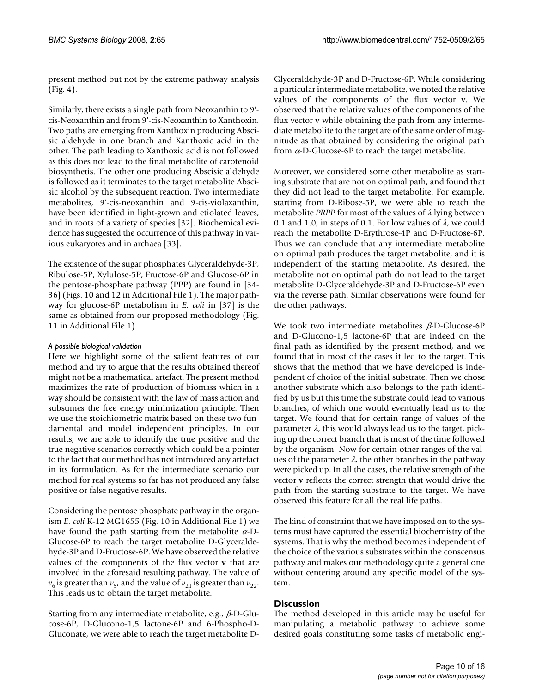present method but not by the extreme pathway analysis (Fig. 4).

Similarly, there exists a single path from Neoxanthin to 9' cis-Neoxanthin and from 9'-cis-Neoxanthin to Xanthoxin. Two paths are emerging from Xanthoxin producing Abscisic aldehyde in one branch and Xanthoxic acid in the other. The path leading to Xanthoxic acid is not followed as this does not lead to the final metabolite of carotenoid biosynthetis. The other one producing Abscisic aldehyde is followed as it terminates to the target metabolite Abscisic alcohol by the subsequent reaction. Two intermediate metabolites, 9'-cis-neoxanthin and 9-cis-violaxanthin, have been identified in light-grown and etiolated leaves, and in roots of a variety of species [32]. Biochemical evidence has suggested the occurrence of this pathway in various eukaryotes and in archaea [33].

The existence of the sugar phosphates Glyceraldehyde-3P, Ribulose-5P, Xylulose-5P, Fructose-6P and Glucose-6P in the pentose-phosphate pathway (PPP) are found in [34- 36] (Figs. 10 and 12 in Additional File 1). The major pathway for glucose-6P metabolism in *E. coli* in [37] is the same as obtained from our proposed methodology (Fig. 11 in Additional File 1).

# *A possible biological validation*

Here we highlight some of the salient features of our method and try to argue that the results obtained thereof might not be a mathematical artefact. The present method maximizes the rate of production of biomass which in a way should be consistent with the law of mass action and subsumes the free energy minimization principle. Then we use the stoichiometric matrix based on these two fundamental and model independent principles. In our results, we are able to identify the true positive and the true negative scenarios correctly which could be a pointer to the fact that our method has not introduced any artefact in its formulation. As for the intermediate scenario our method for real systems so far has not produced any false positive or false negative results.

Considering the pentose phosphate pathway in the organism *E. coli* K-12 MG1655 (Fig. 10 in Additional File 1) we have found the path starting from the metabolite  $\alpha$ -D-Glucose-6P to reach the target metabolite D-Glyceraldehyde-3P and D-Fructose-6P. We have observed the relative values of the components of the flux vector **v** that are involved in the aforesaid resulting pathway. The value of  $v_6$  is greater than  $v_5$ , and the value of  $v_{21}$  is greater than  $v_{22}$ . This leads us to obtain the target metabolite.

Starting from any intermediate metabolite, e.g., β-D-Glucose-6P, D-Glucono-1,5 lactone-6P and 6-Phospho-D-Gluconate, we were able to reach the target metabolite D-

Glyceraldehyde-3P and D-Fructose-6P. While considering a particular intermediate metabolite, we noted the relative values of the components of the flux vector **v**. We observed that the relative values of the components of the flux vector **v** while obtaining the path from any intermediate metabolite to the target are of the same order of magnitude as that obtained by considering the original path from  $\alpha$ -D-Glucose-6P to reach the target metabolite.

Moreover, we considered some other metabolite as starting substrate that are not on optimal path, and found that they did not lead to the target metabolite. For example, starting from D-Ribose-5P, we were able to reach the metabolite *PRPP* for most of the values of λ lying between 0.1 and 1.0, in steps of 0.1. For low values of  $\lambda$ , we could reach the metabolite D-Erythrose-4P and D-Fructose-6P. Thus we can conclude that any intermediate metabolite on optimal path produces the target metabolite, and it is independent of the starting metabolite. As desired, the metabolite not on optimal path do not lead to the target metabolite D-Glyceraldehyde-3P and D-Fructose-6P even via the reverse path. Similar observations were found for the other pathways.

We took two intermediate metabolites  $\beta$ -D-Glucose-6P and D-Glucono-1,5 lactone-6P that are indeed on the final path as identified by the present method, and we found that in most of the cases it led to the target. This shows that the method that we have developed is independent of choice of the initial substrate. Then we chose another substrate which also belongs to the path identified by us but this time the substrate could lead to various branches, of which one would eventually lead us to the target. We found that for certain range of values of the parameter  $\lambda$ , this would always lead us to the target, picking up the correct branch that is most of the time followed by the organism. Now for certain other ranges of the values of the parameter  $\lambda$ , the other branches in the pathway were picked up. In all the cases, the relative strength of the vector **v** reflects the correct strength that would drive the path from the starting substrate to the target. We have observed this feature for all the real life paths.

The kind of constraint that we have imposed on to the systems must have captured the essential biochemistry of the systems. That is why the method becomes independent of the choice of the various substrates within the conscensus pathway and makes our methodology quite a general one without centering around any specific model of the system.

# **Discussion**

The method developed in this article may be useful for manipulating a metabolic pathway to achieve some desired goals constituting some tasks of metabolic engi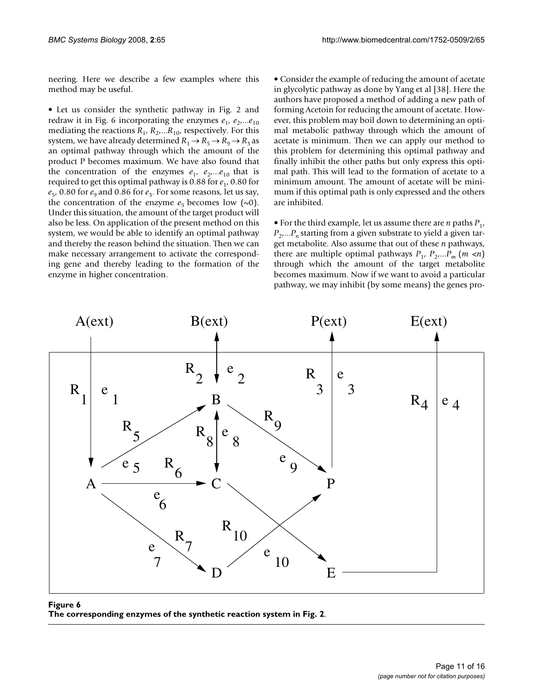neering. Here we describe a few examples where this method may be useful.

• Let us consider the synthetic pathway in Fig. 2 and redraw it in Fig. 6 incorporating the enzymes  $e_1$ ,  $e_2$ ,... $e_{10}$ mediating the reactions  $R_1$ ,  $R_2$ ,... $R_{10}$ , respectively. For this system, we have already determined  $R_1 \rightarrow R_5 \rightarrow R_9 \rightarrow R_3$  as an optimal pathway through which the amount of the product P becomes maximum. We have also found that the concentration of the enzymes  $e_1$ ,  $e_2$ ,... $e_{10}$  that is required to get this optimal pathway is 0.88 for *e*<sup>1</sup> , 0.80 for  $e_5$ , 0.80 for  $e_9$  and 0.86 for  $e_3$ . For some reasons, let us say, the concentration of the enzyme  $e_5$  becomes low  $(\sim 0)$ . Under this situation, the amount of the target product will also be less. On application of the present method on this system, we would be able to identify an optimal pathway and thereby the reason behind the situation. Then we can make necessary arrangement to activate the corresponding gene and thereby leading to the formation of the enzyme in higher concentration.

• Consider the example of reducing the amount of acetate in glycolytic pathway as done by Yang et al [38]. Here the authors have proposed a method of adding a new path of forming Acetoin for reducing the amount of acetate. However, this problem may boil down to determining an optimal metabolic pathway through which the amount of acetate is minimum. Then we can apply our method to this problem for determining this optimal pathway and finally inhibit the other paths but only express this optimal path. This will lead to the formation of acetate to a minimum amount. The amount of acetate will be minimum if this optimal path is only expressed and the others are inhibited.

• For the third example, let us assume there are  $n$  paths  $P_1$ , *P*2 ,...*Pn* starting from a given substrate to yield a given target metabolite. Also assume that out of these *n* pathways, there are multiple optimal pathways  $P_1$ ,  $P_2$ ,... $P_m$  (*m* <*n*) through which the amount of the target metabolite becomes maximum. Now if we want to avoid a particular pathway, we may inhibit (by some means) the genes pro-



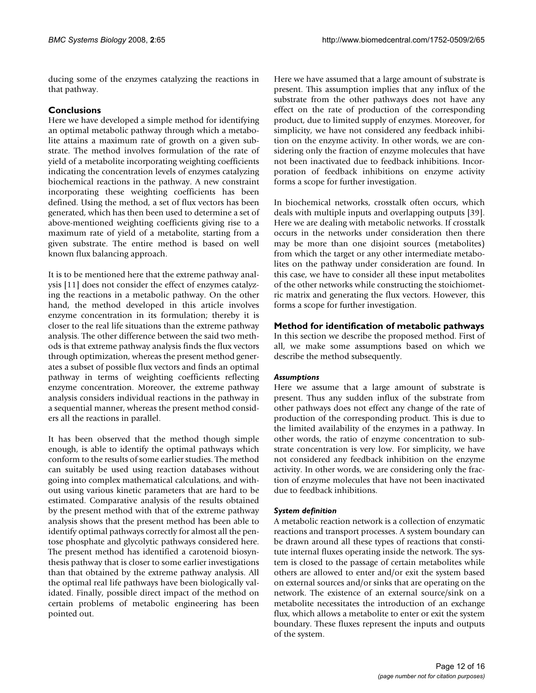ducing some of the enzymes catalyzing the reactions in that pathway.

# **Conclusions**

Here we have developed a simple method for identifying an optimal metabolic pathway through which a metabolite attains a maximum rate of growth on a given substrate. The method involves formulation of the rate of yield of a metabolite incorporating weighting coefficients indicating the concentration levels of enzymes catalyzing biochemical reactions in the pathway. A new constraint incorporating these weighting coefficients has been defined. Using the method, a set of flux vectors has been generated, which has then been used to determine a set of above-mentioned weighting coefficients giving rise to a maximum rate of yield of a metabolite, starting from a given substrate. The entire method is based on well known flux balancing approach.

It is to be mentioned here that the extreme pathway analysis [11] does not consider the effect of enzymes catalyzing the reactions in a metabolic pathway. On the other hand, the method developed in this article involves enzyme concentration in its formulation; thereby it is closer to the real life situations than the extreme pathway analysis. The other difference between the said two methods is that extreme pathway analysis finds the flux vectors through optimization, whereas the present method generates a subset of possible flux vectors and finds an optimal pathway in terms of weighting coefficients reflecting enzyme concentration. Moreover, the extreme pathway analysis considers individual reactions in the pathway in a sequential manner, whereas the present method considers all the reactions in parallel.

It has been observed that the method though simple enough, is able to identify the optimal pathways which conform to the results of some earlier studies. The method can suitably be used using reaction databases without going into complex mathematical calculations, and without using various kinetic parameters that are hard to be estimated. Comparative analysis of the results obtained by the present method with that of the extreme pathway analysis shows that the present method has been able to identify optimal pathways correctly for almost all the pentose phosphate and glycolytic pathways considered here. The present method has identified a carotenoid biosynthesis pathway that is closer to some earlier investigations than that obtained by the extreme pathway analysis. All the optimal real life pathways have been biologically validated. Finally, possible direct impact of the method on certain problems of metabolic engineering has been pointed out.

Here we have assumed that a large amount of substrate is present. This assumption implies that any influx of the substrate from the other pathways does not have any effect on the rate of production of the corresponding product, due to limited supply of enzymes. Moreover, for simplicity, we have not considered any feedback inhibition on the enzyme activity. In other words, we are considering only the fraction of enzyme molecules that have not been inactivated due to feedback inhibitions. Incorporation of feedback inhibitions on enzyme activity forms a scope for further investigation.

In biochemical networks, crosstalk often occurs, which deals with multiple inputs and overlapping outputs [39]. Here we are dealing with metabolic networks. If crosstalk occurs in the networks under consideration then there may be more than one disjoint sources (metabolites) from which the target or any other intermediate metabolites on the pathway under consideration are found. In this case, we have to consider all these input metabolites of the other networks while constructing the stoichiometric matrix and generating the flux vectors. However, this forms a scope for further investigation.

# **Method for identification of metabolic pathways**

In this section we describe the proposed method. First of all, we make some assumptions based on which we describe the method subsequently.

# *Assumptions*

Here we assume that a large amount of substrate is present. Thus any sudden influx of the substrate from other pathways does not effect any change of the rate of production of the corresponding product. This is due to the limited availability of the enzymes in a pathway. In other words, the ratio of enzyme concentration to substrate concentration is very low. For simplicity, we have not considered any feedback inhibition on the enzyme activity. In other words, we are considering only the fraction of enzyme molecules that have not been inactivated due to feedback inhibitions.

# *System definition*

A metabolic reaction network is a collection of enzymatic reactions and transport processes. A system boundary can be drawn around all these types of reactions that constitute internal fluxes operating inside the network. The system is closed to the passage of certain metabolites while others are allowed to enter and/or exit the system based on external sources and/or sinks that are operating on the network. The existence of an external source/sink on a metabolite necessitates the introduction of an exchange flux, which allows a metabolite to enter or exit the system boundary. These fluxes represent the inputs and outputs of the system.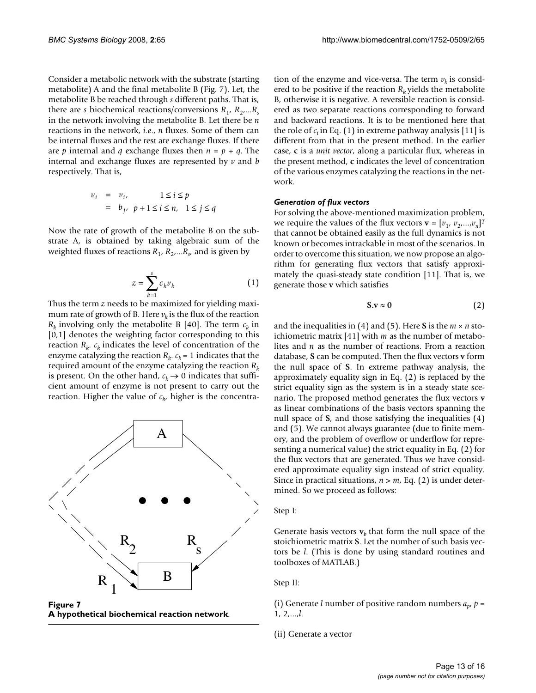Consider a metabolic network with the substrate (starting metabolite) A and the final metabolite B (Fig. 7). Let, the metabolite B be reached through *s* different paths. That is, there are *s* biochemical reactions/conversions  $R_1$ ,  $R_2$ ,... $R_s$ in the network involving the metabolite B. Let there be *n* reactions in the network, *i.e*., *n* fluxes. Some of them can be internal fluxes and the rest are exchange fluxes. If there are *p* internal and *q* exchange fluxes then  $n = p + q$ . The internal and exchange fluxes are represented by *v* and *b* respectively. That is,

$$
v_i = v_i, \qquad 1 \le i \le p
$$
  
=  $b_j, \quad p+1 \le i \le n, \quad 1 \le j \le q$ 

Now the rate of growth of the metabolite B on the substrate A, is obtained by taking algebraic sum of the weighted fluxes of reactions *R*<sup>1</sup> , *R*<sup>2</sup> ,...*R<sup>s</sup>* , and is given by

$$
z = \sum_{k=1}^{s} c_k v_k \tag{1}
$$

Thus the term *z* needs to be maximized for yielding maximum rate of growth of B. Here  $v_k$  is the flux of the reaction  $R_k$  involving only the metabolite B [40]. The term  $c_k$  in [0,1] denotes the weighting factor corresponding to this reaction *R<sup>k</sup>* . *ck* indicates the level of concentration of the enzyme catalyzing the reaction  $R_k$ .  $c_k$  = 1 indicates that the required amount of the enzyme catalyzing the reaction *R<sup>k</sup>* is present. On the other hand,  $c_k \rightarrow 0$  indicates that sufficient amount of enzyme is not present to carry out the reaction. Higher the value of *c<sup>k</sup>* , higher is the concentra-



**Figure 7 A hypothetical biochemical reaction network**.

tion of the enzyme and vice-versa. The term  $v_k$  is considered to be positive if the reaction  $R_k$  yields the metabolite B, otherwise it is negative. A reversible reaction is considered as two separate reactions corresponding to forward and backward reactions. It is to be mentioned here that the role of  $c_i$  in Eq. (1) in extreme pathway analysis [11] is different from that in the present method. In the earlier case, **c** is a *unit vector*, along a particular flux, whereas in the present method, **c** indicates the level of concentration of the various enzymes catalyzing the reactions in the network.

#### *Generation of flux vectors*

For solving the above-mentioned maximization problem, we require the values of the flux vectors  $\mathbf{v} = [v_1, v_2, ..., v_n]^T$ that cannot be obtained easily as the full dynamics is not known or becomes intrackable in most of the scenarios. In order to overcome this situation, we now propose an algorithm for generating flux vectors that satisfy approximately the quasi-steady state condition [11]. That is, we generate those **v** which satisfies

$$
S.v \approx 0 \tag{2}
$$

and the inequalities in (4) and (5). Here **S** is the *m* × *n* stoichiometric matrix [41] with *m* as the number of metabolites and *n* as the number of reactions. From a reaction database, **S** can be computed. Then the flux vectors **v** form the null space of **S**. In extreme pathway analysis, the approximately equality sign in Eq. (2) is replaced by the strict equality sign as the system is in a steady state scenario. The proposed method generates the flux vectors **v** as linear combinations of the basis vectors spanning the null space of **S**, and those satisfying the inequalities (4) and (5). We cannot always guarantee (due to finite memory, and the problem of overflow or underflow for representing a numerical value) the strict equality in Eq. (2) for the flux vectors that are generated. Thus we have considered approximate equality sign instead of strict equality. Since in practical situations,  $n > m$ , Eq. (2) is under determined. So we proceed as follows:

#### Step I:

Generate basis vectors  $v<sub>b</sub>$  that form the null space of the stoichiometric matrix **S**. Let the number of such basis vectors be *l*. (This is done by using standard routines and toolboxes of MATLAB.)

Step II:

(i) Generate *l* number of positive random numbers  $a_p$ ,  $p =$ 1, 2,...,*l*.

(ii) Generate a vector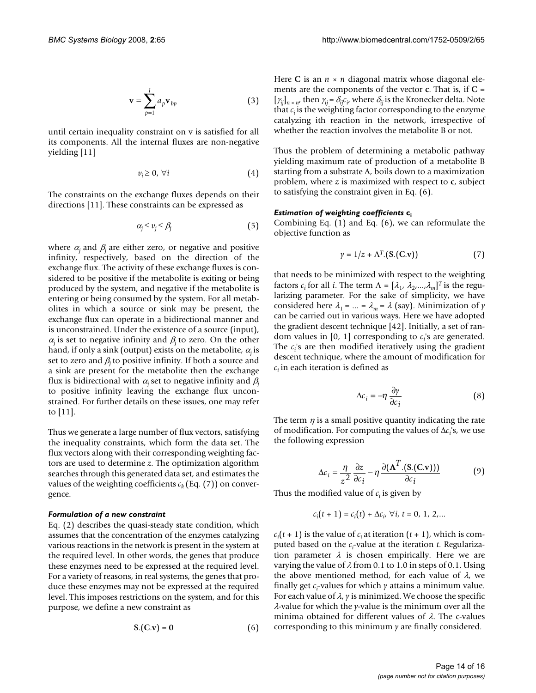$$
\mathbf{v} = \sum_{p=1}^{l} a_p \mathbf{v}_{bp} \tag{3}
$$

until certain inequality constraint on v is satisfied for all its components. All the internal fluxes are non-negative yielding [11]

$$
v_i \geq 0, \,\forall i \tag{4}
$$

The constraints on the exchange fluxes depends on their directions [11]. These constraints can be expressed as

$$
\alpha_j \le \nu_j \le \beta_j \tag{5}
$$

where  $\alpha_i$  and  $\beta_i$  are either zero, or negative and positive infinity, respectively, based on the direction of the exchange flux. The activity of these exchange fluxes is considered to be positive if the metabolite is exiting or being produced by the system, and negative if the metabolite is entering or being consumed by the system. For all metabolites in which a source or sink may be present, the exchange flux can operate in a bidirectional manner and is unconstrained. Under the existence of a source (input),  $\alpha_i$  is set to negative infinity and  $\beta_i$  to zero. On the other hand, if only a sink (output) exists on the metabolite, <sup>α</sup>*j* is set to zero and  $\beta_i$  to positive infinity. If both a source and a sink are present for the metabolite then the exchange flux is bidirectional with  $\alpha_i$  set to negative infinity and  $\beta_i$ to positive infinity leaving the exchange flux unconstrained. For further details on these issues, one may refer to [11].

Thus we generate a large number of flux vectors, satisfying the inequality constraints, which form the data set. The flux vectors along with their corresponding weighting factors are used to determine *z*. The optimization algorithm searches through this generated data set, and estimates the values of the weighting coefficients  $c_k$  (Eq. (7)) on convergence.

#### *Formulation of a new constraint*

Eq. (2) describes the quasi-steady state condition, which assumes that the concentration of the enzymes catalyzing various reactions in the network is present in the system at the required level. In other words, the genes that produce these enzymes need to be expressed at the required level. For a variety of reasons, in real systems, the genes that produce these enzymes may not be expressed at the required level. This imposes restrictions on the system, and for this purpose, we define a new constraint as

$$
S.(C.v) = 0 \tag{6}
$$

Here C is an  $n \times n$  diagonal matrix whose diagonal elements are the components of the vector **c**. That is, if **C** =  $[\gamma_{ij}]_{n \times n'}$  then  $\gamma_{ij} = \delta_{ij} c_i$ , where  $\delta_{ij}$  is the Kronecker delta. Note that  $c_i$  is the weighting factor corresponding to the enzyme catalyzing ith reaction in the network, irrespective of whether the reaction involves the metabolite B or not.

Thus the problem of determining a metabolic pathway yielding maximum rate of production of a metabolite B starting from a substrate A, boils down to a maximization problem, where *z* is maximized with respect to **c**, subject to satisfying the constraint given in Eq. (6).

#### *Estimation of weighting coefficients* **c<sup>i</sup>**

Combining Eq. (1) and Eq. (6), we can reformulate the objective function as

$$
\gamma = 1/z + \Lambda^T \left( S \left( C \mathbf{v} \right) \right) \tag{7}
$$

that needs to be minimized with respect to the weighting factors  $c_i$  for all *i*. The term  $\Lambda = [\lambda_1, \lambda_2, ..., \lambda_m]^T$  is the regularizing parameter. For the sake of simplicity, we have considered here  $\lambda_1 = ... = \lambda_m = \lambda$  (say). Minimization of *y* can be carried out in various ways. Here we have adopted the gradient descent technique [42]. Initially, a set of random values in  $[0, 1]$  corresponding to  $c_i$ 's are generated. The  $c_i$ 's are then modified iteratively using the gradient descent technique, where the amount of modification for *ci* in each iteration is defined as

$$
\Delta c_i = -\eta \frac{\partial y}{\partial c_i} \tag{8}
$$

The term  $\eta$  is a small positive quantity indicating the rate of modification. For computing the values of Δ*c<sup>i</sup>* 's, we use the following expression

$$
\Delta c_i = \frac{\eta}{z^2} \frac{\partial z}{\partial c_i} - \eta \frac{\partial (\mathbf{\Lambda}^T . (\mathbf{S} . (\mathbf{C} . \mathbf{v})))}{\partial c_i}
$$
(9)

Thus the modified value of *ci* is given by

$$
c_i(t+1) = c_i(t) + \Delta c_i, \ \forall i, \ t = 0, \ 1, \ 2, ...
$$

 $c_i(t + 1)$  is the value of  $c_i$  at iteration  $(t + 1)$ , which is computed based on the *c<sup>i</sup>* -value at the iteration *t*. Regularization parameter  $\lambda$  is chosen empirically. Here we are varying the value of  $\lambda$  from 0.1 to 1.0 in steps of 0.1. Using the above mentioned method, for each value of  $\lambda$ , we finally get *c<sup>i</sup>* -values for which *y* attains a minimum value. For each value of  $\lambda$ ,  $\gamma$  is minimized. We choose the specific λ-value for which the *y*-value is the minimum over all the minima obtained for different values of  $\lambda$ . The c-values corresponding to this minimum *y* are finally considered.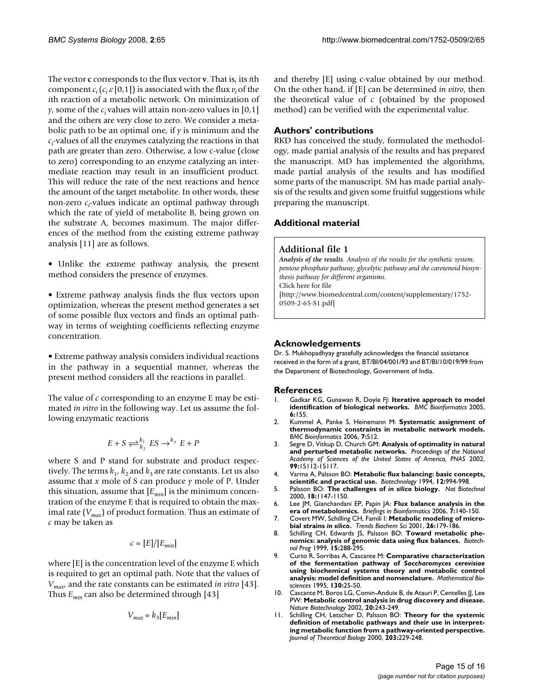The vector **c** corresponds to the flux vector **v**. That is, its *i*th component  $c_i$  ( $c_i$   $\varepsilon$  [0,1]) is associated with the flux  $v_i$  of the *i*th reaction of a metabolic network. On minimization of *y*, some of the *c*<sub>*i*</sub> values will attain non-zero values in [0,1] and the others are very close to zero. We consider a metabolic path to be an optimal one, if *y* is minimum and the  $c_i$ -values of all the enzymes catalyzing the reactions in that path are greater than zero. Otherwise, a low c-value (close to zero) corresponding to an enzyme catalyzing an intermediate reaction may result in an insufficient product. This will reduce the rate of the next reactions and hence the amount of the target metabolite. In other words, these non-zero  $c_i$ -values indicate an optimal pathway through which the rate of yield of metabolite B, being grown on the substrate A, becomes maximum. The major differences of the method from the existing extreme pathway analysis [11] are as follows.

- Unlike the extreme pathway analysis, the present method considers the presence of enzymes.
- Extreme pathway analysis finds the flux vectors upon optimization, whereas the present method generates a set of some possible flux vectors and finds an optimal pathway in terms of weighting coefficients reflecting enzyme concentration.

• Extreme pathway analysis considers individual reactions in the pathway in a sequential manner, whereas the present method considers all the reactions in parallel.

The value of *c* corresponding to an enzyme E may be estimated *in vitro* in the following way. Let us assume the following enzymatic reactions

$$
E + S \rightleftharpoons^{k_1}_{k_2} ES \rightarrow^{k_3} E + P
$$

where S and P stand for substrate and product respectively. The terms  $k_1$ ,  $k_2$  and  $k_3$  are rate constants. Let us also assume that *x* mole of S can produce *y* mole of P. Under this situation, assume that  $[E_{min}]$  is the minimum concentration of the enzyme E that is required to obtain the maximal rate (*Vmax*) of product formation. Thus an estimate of *c* may be taken as

$$
c = [E]/[E_{min}]
$$

where [E] is the concentration level of the enzyme E which is required to get an optimal path. Note that the values of *Vmax*, and the rate constants can be estimated *in vitro* [43]. Thus *Emin* can also be determined through [43]

$$
V_{max}=k_3[E_{min}] \label{eq:Vmax}
$$

and thereby [E] using c-value obtained by our method. On the other hand, if [E] can be determined *in vitro*, then the theoretical value of *c* (obtained by the proposed method) can be verified with the experimental value.

# **Authors' contributions**

RKD has conceived the study, formulated the methodology, made partial analysis of the results and has prepared the manuscript. MD has implemented the algorithms, made partial analysis of the results and has modified some parts of the manuscript. SM has made partial analysis of the results and given some fruitful suggestions while preparing the manuscript.

# **Additional material**

# **Additional file 1**

*Analysis of the results. Analysis of the results for the synthetic system, pentose phosphate pathway, glycolytic pathway and the carotenoid biosynthesis pathway for different organisms.* Click here for file [\[http://www.biomedcentral.com/content/supplementary/1752-](http://www.biomedcentral.com/content/supplementary/1752-0509-2-65-S1.pdf) 0509-2-65-S1.pdf]

# **Acknowledgements**

Dr. S. Mukhopadhyay gratefully acknowledges the financial assistance received in the form of a grant, BT/BI/04/001/93 and BT/BI/10/019/99 from the Department of Biotechnology, Government of India.

# **References**

- 1. Gadkar KG, Gunawan R, Doyle FJ: **[Iterative approach to model](http://www.ncbi.nlm.nih.gov/entrez/query.fcgi?cmd=Retrieve&db=PubMed&dopt=Abstract&list_uids=15967022) [identification of biological networks.](http://www.ncbi.nlm.nih.gov/entrez/query.fcgi?cmd=Retrieve&db=PubMed&dopt=Abstract&list_uids=15967022)** *BMC Bioinformatics* 2005, **6:**155.
- 2. Kummel A, Panke S, Heinemann M: **[Systematic assignment of](http://www.ncbi.nlm.nih.gov/entrez/query.fcgi?cmd=Retrieve&db=PubMed&dopt=Abstract&list_uids=17123434) [thermodynamic constraints in metabolic network models.](http://www.ncbi.nlm.nih.gov/entrez/query.fcgi?cmd=Retrieve&db=PubMed&dopt=Abstract&list_uids=17123434)** *BMC Bioinformatics* 2006, **7:**512.
- 3. Segre D, Vitkup D, Church GM: **Analysis of optimality in natural and perturbed metabolic networks.** *Proceedings of the National Academy of Sciences of the United States of America, PNAS* 2002, **99:**15112-15117.
- 4. Varma A, Palsson BO: **Metabolic flux balancing: basic concepts, scientific and practical use.** *Biotechnology* 1994, **12:**994-998.
- 5. Palsson BO: **The challenges of** *in silico* **[biology.](http://www.ncbi.nlm.nih.gov/entrez/query.fcgi?cmd=Retrieve&db=PubMed&dopt=Abstract&list_uids=11062431)** *Nat Biotechnol* 2000, **18:**1147-1150.
- 6. Lee JM, Gianchandani EP, Papin JA: **[Flux balance analysis in the](http://www.ncbi.nlm.nih.gov/entrez/query.fcgi?cmd=Retrieve&db=PubMed&dopt=Abstract&list_uids=16772264) [era of metabolomics.](http://www.ncbi.nlm.nih.gov/entrez/query.fcgi?cmd=Retrieve&db=PubMed&dopt=Abstract&list_uids=16772264)** *Briefings in Bioinformatics* 2006, **7:**140-150.
- 7. Covert MW, Schilling CH, Famili I: **Metabolic modeling of microbial strains** *in silico***[.](http://www.ncbi.nlm.nih.gov/entrez/query.fcgi?cmd=Retrieve&db=PubMed&dopt=Abstract&list_uids=11246024)** *Trends Biochem Sci* 2001, **26:**179-186.
- 8. Schilling CH, Edwards JS, Palsson BO: **[Toward metabolic phe](http://www.ncbi.nlm.nih.gov/entrez/query.fcgi?cmd=Retrieve&db=PubMed&dopt=Abstract&list_uids=10356245)[nomics: analysis of genomic data using flux balances.](http://www.ncbi.nlm.nih.gov/entrez/query.fcgi?cmd=Retrieve&db=PubMed&dopt=Abstract&list_uids=10356245)** *Biotechnol Prog* 1999, **15:**288-295.
- 9. Curto R, Sorribas A, Cascante M: **Comparative characterization of the fermentation pathway of** *Saccharomyces cerevisiae* **[using biochemical systems theory and metabolic control](http://www.ncbi.nlm.nih.gov/entrez/query.fcgi?cmd=Retrieve&db=PubMed&dopt=Abstract&list_uids=7579901) [analysis: model definition and nomenclature.](http://www.ncbi.nlm.nih.gov/entrez/query.fcgi?cmd=Retrieve&db=PubMed&dopt=Abstract&list_uids=7579901)** *Mathematical Biosciences* 1995, **130:**25-50.
- 10. Cascante M, Boros LG, Comin-Anduix B, de Atauri P, Centelles JJ, Lee PW: **[Metabolic control analysis in drug discovery and disease.](http://www.ncbi.nlm.nih.gov/entrez/query.fcgi?cmd=Retrieve&db=PubMed&dopt=Abstract&list_uids=11875424)** *Nature Biotechnology* 2002, **20:**243-249.
- 11. Schilling CH, Letscher D, Palsson BO: **[Theory for the systemic](http://www.ncbi.nlm.nih.gov/entrez/query.fcgi?cmd=Retrieve&db=PubMed&dopt=Abstract&list_uids=10716907) definition of metabolic pathways and their use in interpret[ing metabolic function from a pathway-oriented perspective.](http://www.ncbi.nlm.nih.gov/entrez/query.fcgi?cmd=Retrieve&db=PubMed&dopt=Abstract&list_uids=10716907)** *Journal of Theoretical Biology* 2000, **203:**229-248.